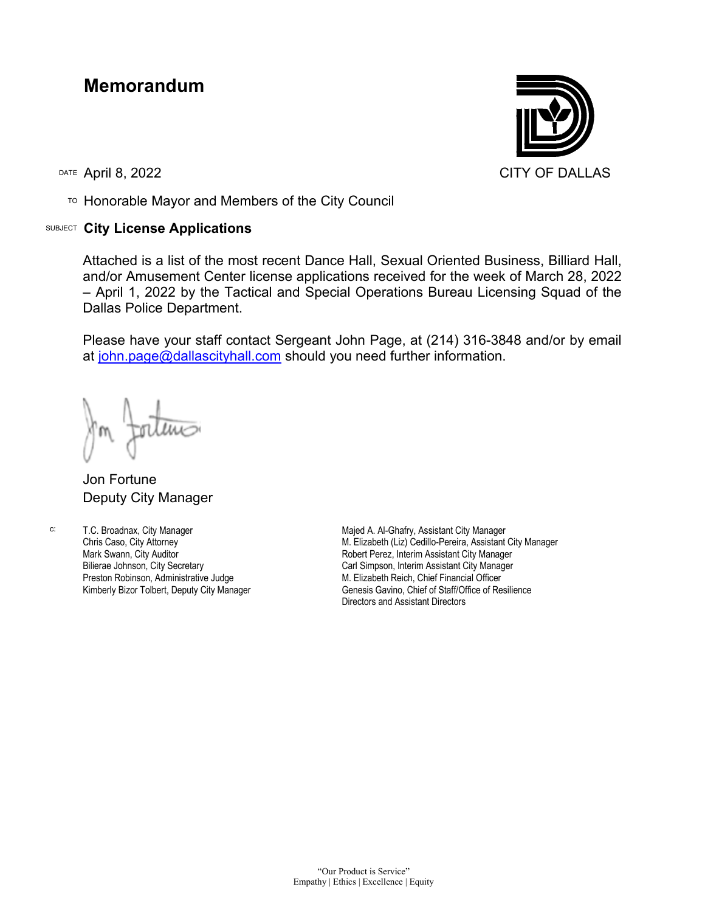## **Memorandum**

TO Honorable Mayor and Members of the City Council

## SUBJECT **City License Applications**



Attached is a list of the most recent Dance Hall, Sexual Oriented Business, Billiard Hall, and/or Amusement Center license applications received for the week of March 28, 2022 – April 1, 2022 by the Tactical and Special Operations Bureau Licensing Squad of the Dallas Police Department.

Please have your staff contact Sergeant John Page, at (214) 316-3848 and/or by email at [john.page@dallascityhall.com](mailto:john.page@dallascityhall.com) should you need further information.

Jon Fortune Deputy City Manager

c: T.C. Broadnax, City Manager Chris Caso, City Attorney Mark Swann, City Auditor Bilierae Johnson, City Secretary Preston Robinson, Administrative Judge Kimberly Bizor Tolbert, Deputy City Manager

Majed A. Al-Ghafry, Assistant City Manager M. Elizabeth (Liz) Cedillo-Pereira, Assistant City Manager Robert Perez, Interim Assistant City Manager Carl Simpson, Interim Assistant City Manager M. Elizabeth Reich, Chief Financial Officer Genesis Gavino, Chief of Staff/Office of Resilience Directors and Assistant Directors